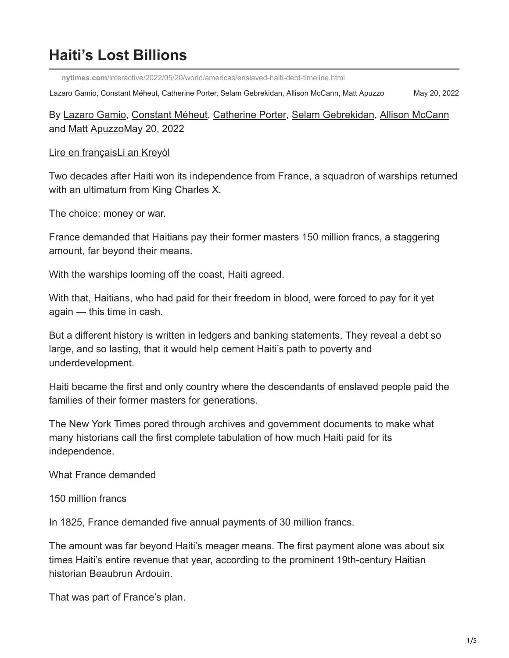# **Haiti's Lost Billions**

**nytimes.com**[/interactive/2022/05/20/world/americas/enslaved-haiti-debt-timeline.html](https://www.nytimes.com/interactive/2022/05/20/world/americas/enslaved-haiti-debt-timeline.html)

Lazaro Gamio, Constant Méheut, Catherine Porter, Selam Gebrekidan, Allison McCann, Matt Apuzzo May 20, 2022

By [Lazaro Gamio,](https://www.nytimes.com/by/lazaro-gamio) [Constant Méheut,](https://www.nytimes.com/by/constant-meheut) [Catherine Porter](https://www.nytimes.com/by/catherine-porter), [Selam Gebrekidan,](https://www.nytimes.com/by/selam-gebrekidan) [Allison McCann](https://www.nytimes.com/by/allison-mccann) and [Matt Apuzzo](https://www.nytimes.com/by/matt-apuzzo)May 20, 2022

#### [Lire en français](https://www.nytimes.com/fr/interactive/2022/05/20/world/americas/haiti-france-dette-reparations.html)[Li an Kreyòl](https://www.nytimes.com/ht/interactive/2022/05/20/world/americas/ayiti-lafrans-esklavaj-dat-enpotan.html)

Two decades after Haiti won its independence from France, a squadron of warships returned with an ultimatum from King Charles X.

The choice: money or war.

France demanded that Haitians pay their former masters 150 million francs, a staggering amount, far beyond their means.

With the warships looming off the coast, Haiti agreed.

With that, Haitians, who had paid for their freedom in blood, were forced to pay for it yet again — this time in cash.

But a different history is written in ledgers and banking statements. They reveal a debt so large, and so lasting, that it would help cement Haiti's path to poverty and underdevelopment.

Haiti became the first and only country where the descendants of enslaved people paid the families of their former masters for generations.

The New York Times pored through archives and government documents to make what many historians call the first complete tabulation of how much Haiti paid for its independence.

What France demanded

150 million francs

In 1825, France demanded five annual payments of 30 million francs.

The amount was far beyond Haiti's meager means. The first payment alone was about six times Haiti's entire revenue that year, according to the prominent 19th-century Haitian historian Beaubrun Ardouin.

That was part of France's plan.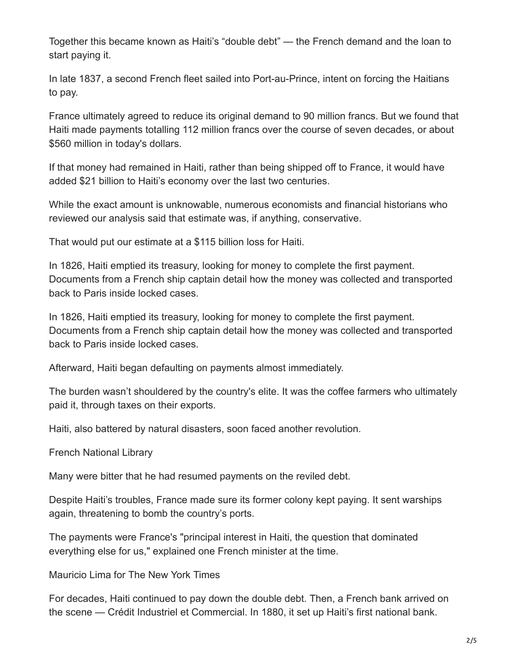Together this became known as Haiti's "double debt" — the French demand and the loan to start paying it.

In late 1837, a second French fleet sailed into Port-au-Prince, intent on forcing the Haitians to pay.

France ultimately agreed to reduce its original demand to 90 million francs. But we found that Haiti made payments totalling 112 million francs over the course of seven decades, or about \$560 million in today's dollars.

If that money had remained in Haiti, rather than being shipped off to France, it would have added \$21 billion to Haiti's economy over the last two centuries.

While the exact amount is unknowable, numerous economists and financial historians who reviewed our analysis said that estimate was, if anything, conservative.

That would put our estimate at a \$115 billion loss for Haiti.

In 1826, Haiti emptied its treasury, looking for money to complete the first payment. Documents from a French ship captain detail how the money was collected and transported back to Paris inside locked cases.

In 1826, Haiti emptied its treasury, looking for money to complete the first payment. Documents from a French ship captain detail how the money was collected and transported back to Paris inside locked cases.

Afterward, Haiti began defaulting on payments almost immediately.

The burden wasn't shouldered by the country's elite. It was the coffee farmers who ultimately paid it, through taxes on their exports.

Haiti, also battered by natural disasters, soon faced another revolution.

French National Library

Many were bitter that he had resumed payments on the reviled debt.

Despite Haiti's troubles, France made sure its former colony kept paying. It sent warships again, threatening to bomb the country's ports.

The payments were France's "principal interest in Haiti, the question that dominated everything else for us," explained one French minister at the time.

Mauricio Lima for The New York Times

For decades, Haiti continued to pay down the double debt. Then, a French bank arrived on the scene — Crédit Industriel et Commercial. In 1880, it set up Haiti's first national bank.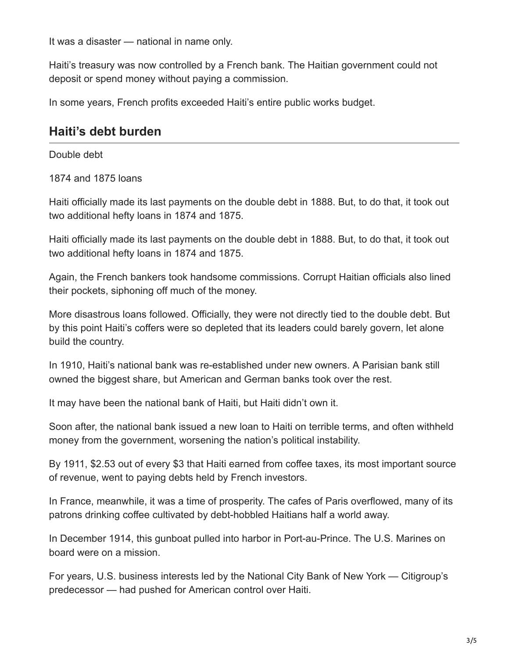It was a disaster — national in name only.

Haiti's treasury was now controlled by a French bank. The Haitian government could not deposit or spend money without paying a commission.

In some years, French profits exceeded Haiti's entire public works budget.

## **Haiti's debt burden**

Double debt

1874 and 1875 loans

Haiti officially made its last payments on the double debt in 1888. But, to do that, it took out two additional hefty loans in 1874 and 1875.

Haiti officially made its last payments on the double debt in 1888. But, to do that, it took out two additional hefty loans in 1874 and 1875.

Again, the French bankers took handsome commissions. Corrupt Haitian officials also lined their pockets, siphoning off much of the money.

More disastrous loans followed. Officially, they were not directly tied to the double debt. But by this point Haiti's coffers were so depleted that its leaders could barely govern, let alone build the country.

In 1910, Haiti's national bank was re-established under new owners. A Parisian bank still owned the biggest share, but American and German banks took over the rest.

It may have been the national bank of Haiti, but Haiti didn't own it.

Soon after, the national bank issued a new loan to Haiti on terrible terms, and often withheld money from the government, worsening the nation's political instability.

By 1911, \$2.53 out of every \$3 that Haiti earned from coffee taxes, its most important source of revenue, went to paying debts held by French investors.

In France, meanwhile, it was a time of prosperity. The cafes of Paris overflowed, many of its patrons drinking coffee cultivated by debt-hobbled Haitians half a world away.

In December 1914, this gunboat pulled into harbor in Port-au-Prince. The U.S. Marines on board were on a mission.

For years, U.S. business interests led by the National City Bank of New York — Citigroup's predecessor — had pushed for American control over Haiti.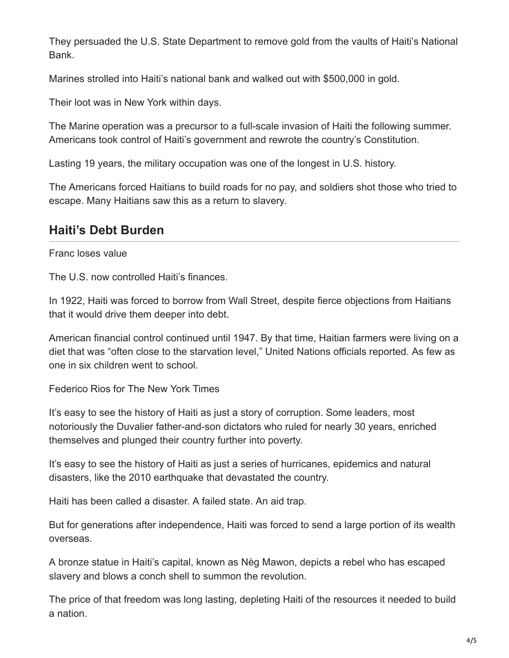They persuaded the U.S. State Department to remove gold from the vaults of Haiti's National Bank.

Marines strolled into Haiti's national bank and walked out with \$500,000 in gold.

Their loot was in New York within days.

The Marine operation was a precursor to a full-scale invasion of Haiti the following summer. Americans took control of Haiti's government and rewrote the country's Constitution.

Lasting 19 years, the military occupation was one of the longest in U.S. history.

The Americans forced Haitians to build roads for no pay, and soldiers shot those who tried to escape. Many Haitians saw this as a return to slavery.

## **Haiti's Debt Burden**

### Franc loses value

The U.S. now controlled Haiti's finances.

In 1922, Haiti was forced to borrow from Wall Street, despite fierce objections from Haitians that it would drive them deeper into debt.

American financial control continued until 1947. By that time, Haitian farmers were living on a diet that was "often close to the starvation level," United Nations officials reported. As few as one in six children went to school.

Federico Rios for The New York Times

It's easy to see the history of Haiti as just a story of corruption. Some leaders, most notoriously the Duvalier father-and-son dictators who ruled for nearly 30 years, enriched themselves and plunged their country further into poverty.

It's easy to see the history of Haiti as just a series of hurricanes, epidemics and natural disasters, like the 2010 earthquake that devastated the country.

Haiti has been called a disaster. A failed state. An aid trap.

But for generations after independence, Haiti was forced to send a large portion of its wealth overseas.

A bronze statue in Haiti's capital, known as Nèg Mawon, depicts a rebel who has escaped slavery and blows a conch shell to summon the revolution.

The price of that freedom was long lasting, depleting Haiti of the resources it needed to build a nation.